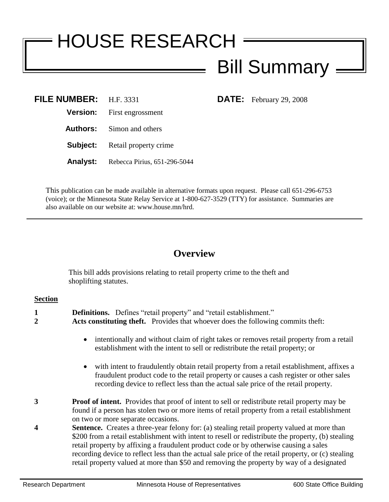## HOUSE RESEARCH Bill Summary

**DATE:** February 29, 2008

| FILE NUMBER: H.F. 3331 |                                       |
|------------------------|---------------------------------------|
|                        | <b>Version:</b> First engrossment     |
|                        | <b>Authors:</b> Simon and others      |
|                        | <b>Subject:</b> Retail property crime |
| Analyst:               | Rebecca Pirius, 651-296-5044          |

This publication can be made available in alternative formats upon request. Please call 651-296-6753 (voice); or the Minnesota State Relay Service at 1-800-627-3529 (TTY) for assistance. Summaries are also available on our website at: www.house.mn/hrd.

## **Overview**

This bill adds provisions relating to retail property crime to the theft and shoplifting statutes.

## **Section**

| 1<br>2 | <b>Definitions.</b> Defines "retail property" and "retail establishment."<br><b>Acts constituting theft.</b> Provides that whoever does the following commits theft:                                                                                                                                                                                                                                                                                                                                  |  |
|--------|-------------------------------------------------------------------------------------------------------------------------------------------------------------------------------------------------------------------------------------------------------------------------------------------------------------------------------------------------------------------------------------------------------------------------------------------------------------------------------------------------------|--|
|        | • intentionally and without claim of right takes or removes retail property from a retail<br>establishment with the intent to sell or redistribute the retail property; or                                                                                                                                                                                                                                                                                                                            |  |
|        | • with intent to fraudulently obtain retail property from a retail establishment, affixes a<br>fraudulent product code to the retail property or causes a cash register or other sales<br>recording device to reflect less than the actual sale price of the retail property.                                                                                                                                                                                                                         |  |
| 3      | <b>Proof of intent.</b> Provides that proof of intent to sell or redistribute retail property may be<br>found if a person has stolen two or more items of retail property from a retail establishment<br>on two or more separate occasions.                                                                                                                                                                                                                                                           |  |
| 4      | <b>Sentence.</b> Creates a three-year felony for: (a) stealing retail property valued at more than<br>\$200 from a retail establishment with intent to resell or redistribute the property, (b) stealing<br>retail property by affixing a fraudulent product code or by otherwise causing a sales<br>recording device to reflect less than the actual sale price of the retail property, or (c) stealing<br>retail property valued at more than \$50 and removing the property by way of a designated |  |